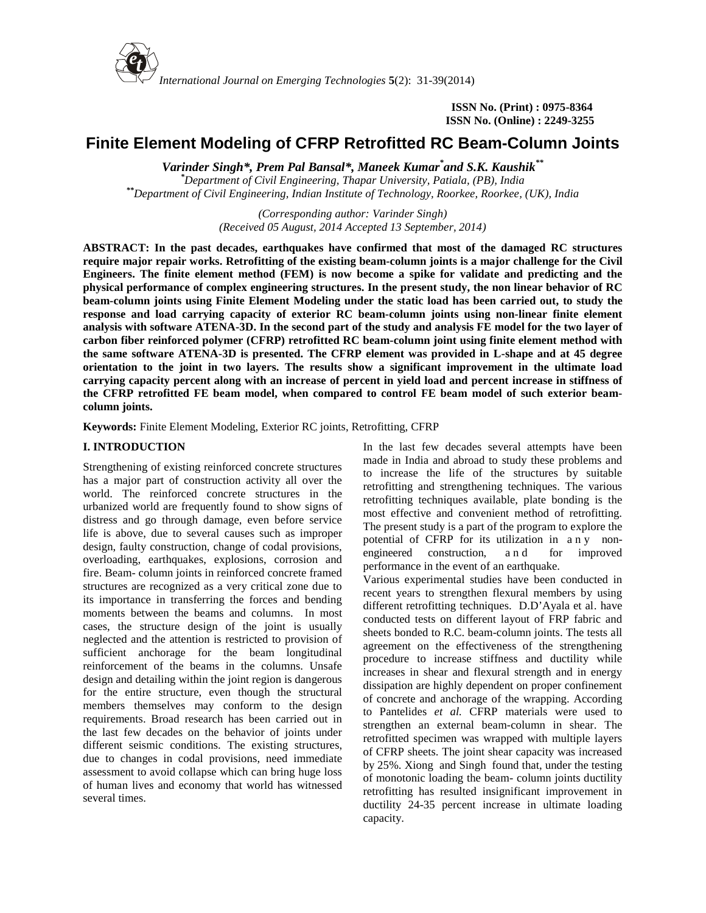

*International Journal on Emerging Technologies* **5**(2): 31-39(2014)

**ISSN No. (Print) : 0975-8364 ISSN No. (Online) : 2249-3255**

# **Finite Element Modeling of CFRP Retrofitted RC Beam-Column Joints**

*Varinder Singh\*, Prem Pal Bansal\*, Maneek Kumar\*and S.K. Kaushik\*\**

*\*Department of Civil Engineering, Thapar University, Patiala, (PB), India \*\*Department of Civil Engineering, Indian Institute of Technology, Roorkee, Roorkee, (UK), India*

> *(Corresponding author: Varinder Singh) (Received 05 August, 2014 Accepted 13 September, 2014)*

**ABSTRACT: In the past decades, earthquakes have confirmed that most of the damaged RC structures require major repair works. Retrofitting of the existing beam-column joints is a major challenge for the Civil Engineers. The finite element method (FEM) is now become a spike for validate and predicting and the physical performance of complex engineering structures. In the present study, the non linear behavior of RC beam-column joints using Finite Element Modeling under the static load has been carried out, to study the response and load carrying capacity of exterior RC beam-column joints using non-linear finite element analysis with software ATENA-3D. In the second part of the study and analysis FE model for the two layer of carbon fiber reinforced polymer (CFRP) retrofitted RC beam-column joint using finite element method with the same software ATENA-3D is presented. The CFRP element was provided in L-shape and at 45 degree orientation to the joint in two layers. The results show a significant improvement in the ultimate load carrying capacity percent along with an increase of percent in yield load and percent increase in stiffness of the CFRP retrofitted FE beam model, when compared to control FE beam model of such exterior beam column joints.**

**Keywords:** Finite Element Modeling, Exterior RC joints, Retrofitting, CFRP

# **I. INTRODUCTION**

Strengthening of existing reinforced concrete structures has a major part of construction activity all over the world. The reinforced concrete structures in the urbanized world are frequently found to show signs of distress and go through damage, even before service life is above, due to several causes such as improper<br>potential of CFRP for its utilization in a ny nondesign, faulty construction, change of codal provisions, engineered construction, overloading, earthquakes, explosions, corrosion and fire. Beam- column joints in reinforced concrete framed structures are recognized as a very critical zone due to its importance in transferring the forces and bending moments between the beams and columns. In most cases, the structure design of the joint is usually neglected and the attention is restricted to provision of sufficient anchorage for the beam longitudinal reinforcement of the beams in the columns. Unsafe design and detailing within the joint region is dangerous for the entire structure, even though the structural members themselves may conform to the design requirements. Broad research has been carried out in the last few decades on the behavior of joints under different seismic conditions. The existing structures, due to changes in codal provisions, need immediate assessment to avoid collapse which can bring huge loss of human lives and economy that world has witnessed several times.

In the last few decades several attempts have been made in India and abroad to study these problems and to increase the life of the structures by suitable retrofitting and strengthening techniques. The various retrofitting techniques available, plate bonding is the most effective and convenient method of retrofitting. The present study is a part of the program to explore the to increase the life of the structures by suitable<br>retrofitting and strengthening techniques. The various<br>retrofitting techniques available, plate bonding is the<br>most effective and convenient method of retrofitting.<br>The pr performance in the event of an earthquake.

Various experimental studies have been conducted in recent years to strengthen flexural members by using different retrofitting techniques. D.D'Ayala et al. have conducted tests on different layout of FRP fabric and sheets bonded to R.C. beam-column joints. The tests all agreement on the effectiveness of the strengthening procedure to increase stiffness and ductility while increases in shear and flexural strength and in energy dissipation are highly dependent on proper confinement of concrete and anchorage of the wrapping. According to Pantelides *et al.* CFRP materials were used to strengthen an external beam-column in shear. The retrofitted specimen was wrapped with multiple layers of CFRP sheets. The joint shear capacity was increased by 25%. Xiong and Singh found that, under the testing of monotonic loading the beam- column joints ductility retrofitting has resulted insignificant improvement in ductility 24-35 percent increase in ultimate loading capacity.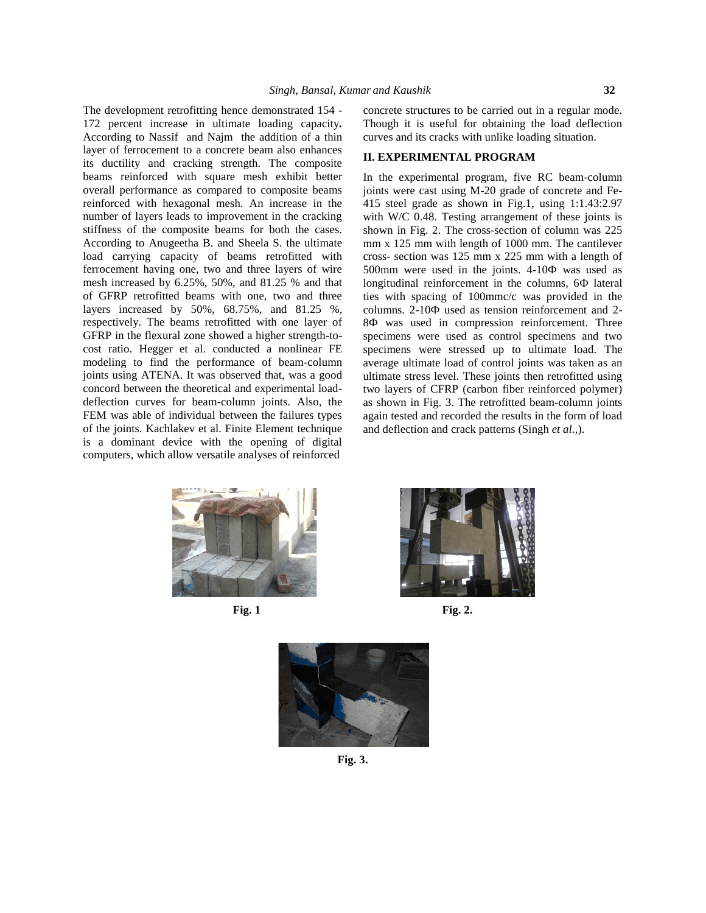The development retrofitting hence demonstrated 154 - 172 percent increase in ultimate loading capacity*.* According to Nassif and Najm the addition of a thin layer of ferrocement to a concrete beam also enhances its ductility and cracking strength. The composite beams reinforced with square mesh exhibit better overall performance as compared to composite beams reinforced with hexagonal mesh. An increase in the number of layers leads to improvement in the cracking stiffness of the composite beams for both the cases. According to Anugeetha B. and Sheela S. the ultimate load carrying capacity of beams retrofitted with ferrocement having one, two and three layers of wire mesh increased by 6.25%, 50%, and 81.25 % and that of GFRP retrofitted beams with one, two and three layers increased by 50%, 68.75%, and 81.25 %, columns. 2-10 used as tension reinforcement and 2respectively. The beams retrofitted with one layer of GFRP in the flexural zone showed a higher strength-to cost ratio. Hegger et al. conducted a nonlinear FE modeling to find the performance of beam-column joints using ATENA. It was observed that, was a good concord between the theoretical and experimental load deflection curves for beam-column joints. Also, the FEM was able of individual between the failures types of the joints. Kachlakev et al. Finite Element technique is a dominant device with the opening of digital computers, which allow versatile analyses of reinforced

concrete structures to be carried out in a regular mode. Though it is useful for obtaining the load deflection curves and its cracks with unlike loading situation.

#### **II. EXPERIMENTAL PROGRAM**

In the experimental program, five RC beam-column joints were cast using M-20 grade of concrete and Fe- 415 steel grade as shown in Fig.1, using 1:1.43:2.97 with W/C 0.48. Testing arrangement of these joints is shown in Fig. 2. The cross-section of column was 225  $mm x 125 mm with length of 1000 mm. The cantilever$ cross- section was 125 mm x 225 mm with a length of 500mm were used in the joints. 4-10 was used as longitudinal reinforcement in the columns, 6 lateral ties with spacing of 100mmc/c was provided in the was used in compression reinforcement. Three specimens were used as control specimens and two specimens were stressed up to ultimate load. The average ultimate load of control joints was taken as an ultimate stress level. These joints then retrofitted using two layers of CFRP (carbon fiber reinforced polymer) as shown in Fig. 3. The retrofitted beam-column joints again tested and recorded the results in the form of load and deflection and crack patterns (Singh *et al.,*).





**Fig. 1 Fig. 2.**



**Fig. 3.**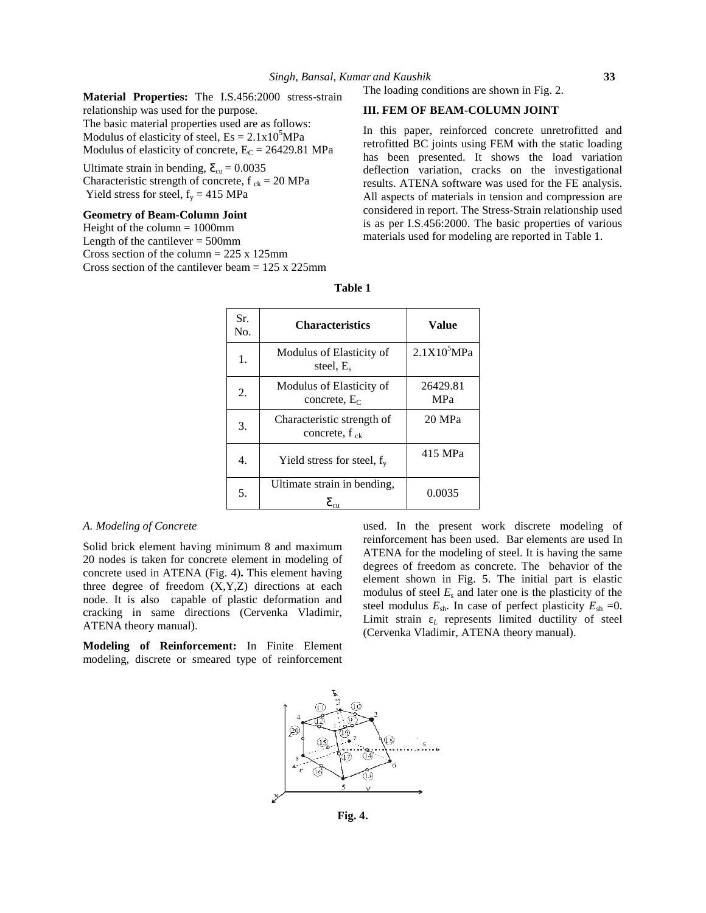**Material Properties:** The I.S.456:2000 stress-strain relationship was used for the purpose. The basic material properties used are as follows: Modulus of elasticity of steel,  $Es = 2.1x10<sup>5</sup>MPa$ Modulus of elasticity of concrete,  $E_C = 26429.81$  MPa

Ultimate strain in bending,  $\mathbf{\Sigma}_{cu} = 0.0035$ Characteristic strength of concrete,  $f_{ck} = 20 \text{ MPa}$ Yield stress for steel,  $f_y = 415 \text{ MPa}$ 

### **Geometry of Beam-Column Joint**

Height of the column  $= 1000$ mm Length of the cantilever  $= 500$ mm Cross section of the column = 225 x 125mm Cross section of the cantilever beam  $= 125$  x 225mm

# The loading conditions are shown in Fig. 2.

### **III. FEM OF BEAM-COLUMN JOINT**

In this paper, reinforced concrete unretrofitted and retrofitted BC joints using FEM with the static loading has been presented. It shows the load variation deflection variation, cracks on the investigational results. ATENA software was used for the FE analysis. All aspects of materials in tension and compression are considered in report. The Stress-Strain relationship used is as per I.S.456:2000. The basic properties of various materials used for modeling are reported in Table 1.

| Sr.<br>No. | <b>Characteristics</b>                                   | Value                   |
|------------|----------------------------------------------------------|-------------------------|
| 1.         | Modulus of Elasticity of<br>steel, E.                    | 2.1X10 <sup>5</sup> MPa |
| 2.         | Modulus of Elasticity of<br>concrete, $E_C$              | 26429.81<br><b>MPa</b>  |
| 3.         | Characteristic strength of<br>concrete, $f_{ck}$         | 20 MPa                  |
| 4.         | Yield stress for steel, $f_v$                            | 415 MPa                 |
| 5.         | Ultimate strain in bending,<br>$\mathcal{E}_{\text{cu}}$ | 0.0035                  |

# **Table 1**

#### *A. Modeling of Concrete*

Solid brick element having minimum 8 and maximum 20 nodes is taken for concrete element in modeling of concrete used in ATENA (Fig. 4)**.** This element having three degree of freedom (X,Y,Z) directions at each node. It is also capable of plastic deformation and cracking in same directions (Cervenka Vladimir, ATENA theory manual).

**Modeling of Reinforcement:** In Finite Element modeling, discrete or smeared type of reinforcement used. In the present work discrete modeling of reinforcement has been used. Bar elements are used In ATENA for the modeling of steel. It is having the same degrees of freedom as concrete. The behavior of the element shown in Fig. 5. The initial part is elastic modulus of steel  $E<sub>s</sub>$  and later one is the plasticity of the steel modulus  $E_{\text{sh}}$ . In case of perfect plasticity  $E_{\text{sh}} = 0$ . Limit strain *<sup>L</sup>* represents limited ductility of steel (Cervenka Vladimir, ATENA theory manual).

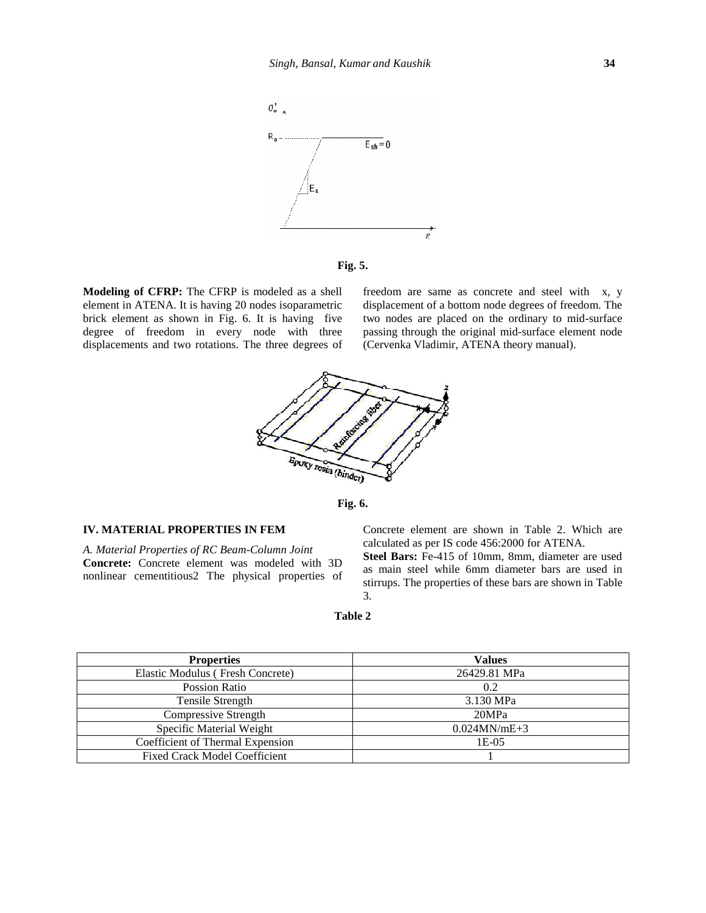



**Modeling of CFRP:** The CFRP is modeled as a shell element in ATENA. It is having 20 nodes isoparametric brick element as shown in Fig. 6. It is having five degree of freedom in every node with three displacements and two rotations. The three degrees of freedom are same as concrete and steel with x, y displacement of a bottom node degrees of freedom. The two nodes are placed on the ordinary to mid-surface passing through the original mid-surface element node (Cervenka Vladimir, ATENA theory manual).





#### **IV. MATERIAL PROPERTIES IN FEM**

*A. Material Properties of RC Beam-Column Joint* **Concrete:** Concrete element was modeled with 3D nonlinear cementitious2 The physical properties of Concrete element are shown in Table 2. Which are calculated as per IS code 456:2000 for ATENA.

**Steel Bars:** Fe-415 of 10mm, 8mm, diameter are used as main steel while 6mm diameter bars are used in stirrups. The properties of these bars are shown in Table 3.

#### **Table 2**

| <b>Properties</b>                    | <b>Values</b>   |
|--------------------------------------|-----------------|
| Elastic Modulus (Fresh Concrete)     | 26429.81 MPa    |
| Possion Ratio                        | 0.2             |
| Tensile Strength                     | 3.130 MPa       |
| Compressive Strength                 | 20MPa           |
| Specific Material Weight             | $0.024$ MN/mE+3 |
| Coefficient of Thermal Expension     | 1E-05           |
| <b>Fixed Crack Model Coefficient</b> |                 |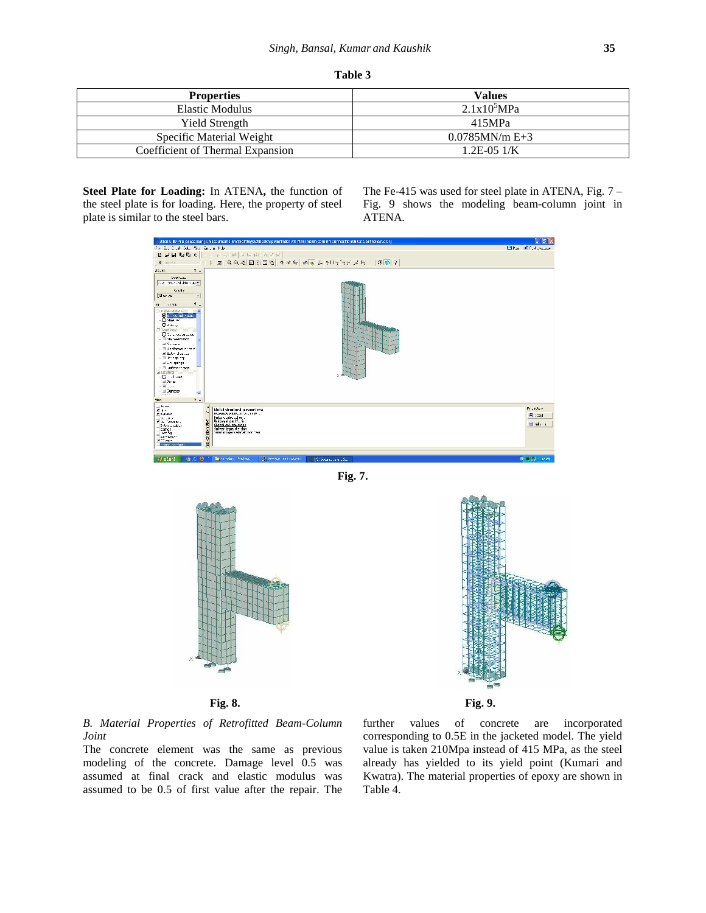| <b>Properties</b>                | <b>Values</b>     |
|----------------------------------|-------------------|
| Elastic Modulus                  | $2.1x10^5MPa$     |
| Yield Strength                   | 415MPa            |
| Specific Material Weight         | $0.0785$ MN/m E+3 |
| Coefficient of Thermal Expansion | $1.2E - 0.51/K$   |

**Steel Plate for Loading:** In ATENA**,** the function of the steel plate is for loading. Here, the property of steel plate is similar to the steel bars.

The Fe-415 was used for steel plate in ATENA, Fig. 7 – Fig. 9 shows the modeling beam-column joint in ATENA.



**Fig. 7.**





*B. Material Properties of Retrofitted Beam-Column Joint*

The concrete element was the same as previous modeling of the concrete. Damage level 0.5 was assumed at final crack and elastic modulus was assumed to be 0.5 of first value after the repair. The

values of concrete are incorporated corresponding to 0.5E in the jacketed model. The yield value is taken 210Mpa instead of 415 MPa, as the steel already has yielded to its yield point (Kumari and Kwatra). The material properties of epoxy are shown in Table 4.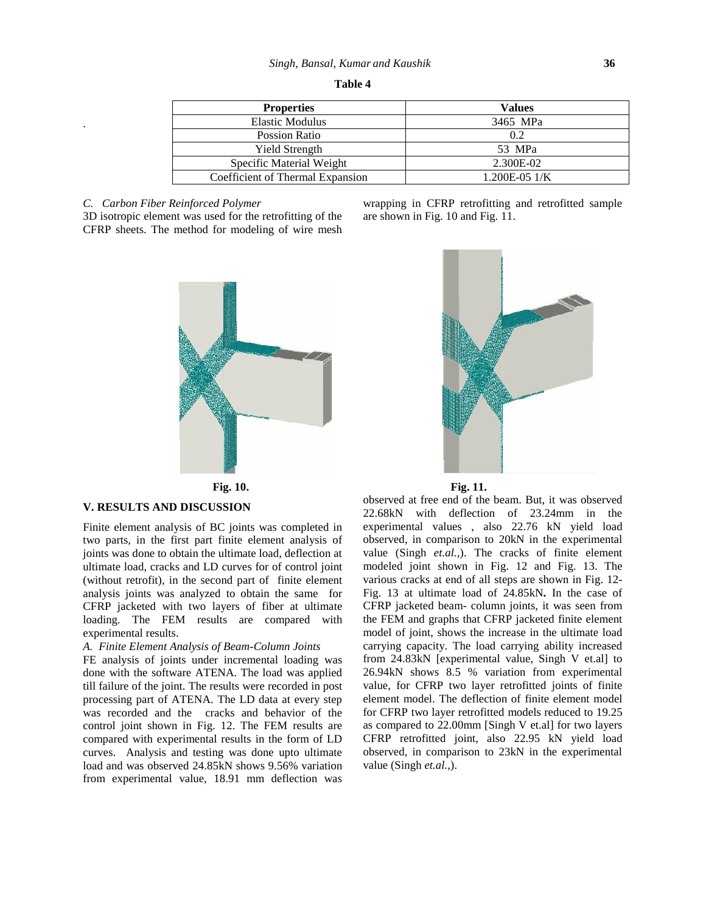| <b>Properties</b>                | <b>Values</b>   |  |  |  |  |  |
|----------------------------------|-----------------|--|--|--|--|--|
| <b>Elastic Modulus</b>           | 3465 MPa        |  |  |  |  |  |
| Possion Ratio                    | 0.2             |  |  |  |  |  |
| <b>Yield Strength</b>            | 53 MPa          |  |  |  |  |  |
| Specific Material Weight         | 2.300E-02       |  |  |  |  |  |
| Coefficient of Thermal Expansion | $1.200E-05$ 1/K |  |  |  |  |  |

### *C. Carbon Fiber Reinforced Polymer*

.

3D isotropic element was used for the retrofitting of the CFRP sheets. The method for modeling of wire mesh





wrapping in CFRP retrofitting and retrofitted sample

are shown in Fig. 10 and Fig. 11.

#### **V. RESULTS AND DISCUSSION**

Finite element analysis of BC joints was completed in two parts, in the first part finite element analysis of joints was done to obtain the ultimate load, deflection at ultimate load, cracks and LD curves for of control joint (without retrofit), in the second part of finite element analysis joints was analyzed to obtain the same for CFRP jacketed with two layers of fiber at ultimate loading. The FEM results are compared with experimental results.

# *A. Finite Element Analysis of Beam-Column Joints*

FE analysis of joints under incremental loading was done with the software ATENA. The load was applied till failure of the joint. The results were recorded in post processing part of ATENA. The LD data at every step was recorded and the cracks and behavior of the control joint shown in Fig. 12. The FEM results are compared with experimental results in the form of LD curves. Analysis and testing was done upto ultimate load and was observed 24.85kN shows 9.56% variation from experimental value, 18.91 mm deflection was

## **Fig. 10. Fig. 11.**

observed at free end of the beam. But, it was observed 22.68kN with deflection of 23.24mm in the experimental values , also 22.76 kN yield load observed, in comparison to 20kN in the experimental value (Singh *et.al.*,). The cracks of finite element modeled joint shown in Fig. 12 and Fig. 13. The various cracks at end of all steps are shown in Fig. 12- Fig. 13 at ultimate load of 24.85kN**.** In the case of CFRP jacketed beam- column joints, it was seen from the FEM and graphs that CFRP jacketed finite element model of joint, shows the increase in the ultimate load carrying capacity. The load carrying ability increased from 24.83kN [experimental value, Singh V et.al] to 26.94kN shows 8.5 % variation from experimental value, for CFRP two layer retrofitted joints of finite element model. The deflection of finite element model for CFRP two layer retrofitted models reduced to 19.25 as compared to 22.00mm [Singh V et.al] for two layers CFRP retrofitted joint, also 22.95 kN yield load observed, in comparison to 23kN in the experimental value (Singh *et.al.,*).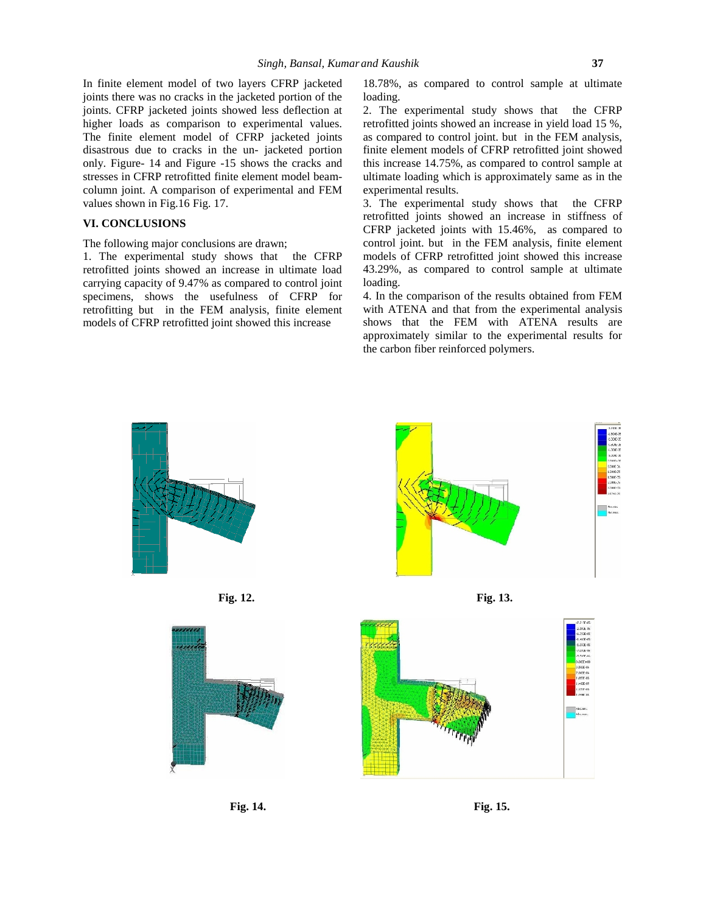In finite element model of two layers CFRP jacketed joints there was no cracks in the jacketed portion of the joints. CFRP jacketed joints showed less deflection at higher loads as comparison to experimental values. The finite element model of CFRP jacketed joints disastrous due to cracks in the un- jacketed portion only. Figure- 14 and Figure -15 shows the cracks and stresses in CFRP retrofitted finite element model beam column joint. A comparison of experimental and FEM values shown in Fig.16 Fig.17.

# **VI. CONCLUSIONS**

The following major conclusions are drawn;

1. The experimental study shows that the CFRP retrofitted joints showed an increase in ultimate load carrying capacity of 9.47% as compared to control joint specimens, shows the usefulness of CFRP for retrofitting but in the FEM analysis, finite element models of CFRP retrofitted joint showed this increase

18.78%, as compared to control sample at ultimate loading.

2. The experimental study shows that the CFRP retrofitted joints showed an increase in yield load 15 %, as compared to control joint. but in the FEM analysis, finite element models of CFRP retrofitted joint showed this increase 14.75%, as compared to control sample at ultimate loading which is approximately same as in the experimental results.

3. The experimental study shows that the CFRP retrofitted joints showed an increase in stiffness of CFRP jacketed joints with 15.46%, as compared to control joint. but in the FEM analysis, finite element models of CFRP retrofitted joint showed this increase 43.29%, as compared to control sample at ultimate loading.

4. In the comparison of the results obtained from FEM with ATENA and that from the experimental analysis shows that the FEM with ATENA results are approximately similar to the experimental results for the carbon fiber reinforced polymers.

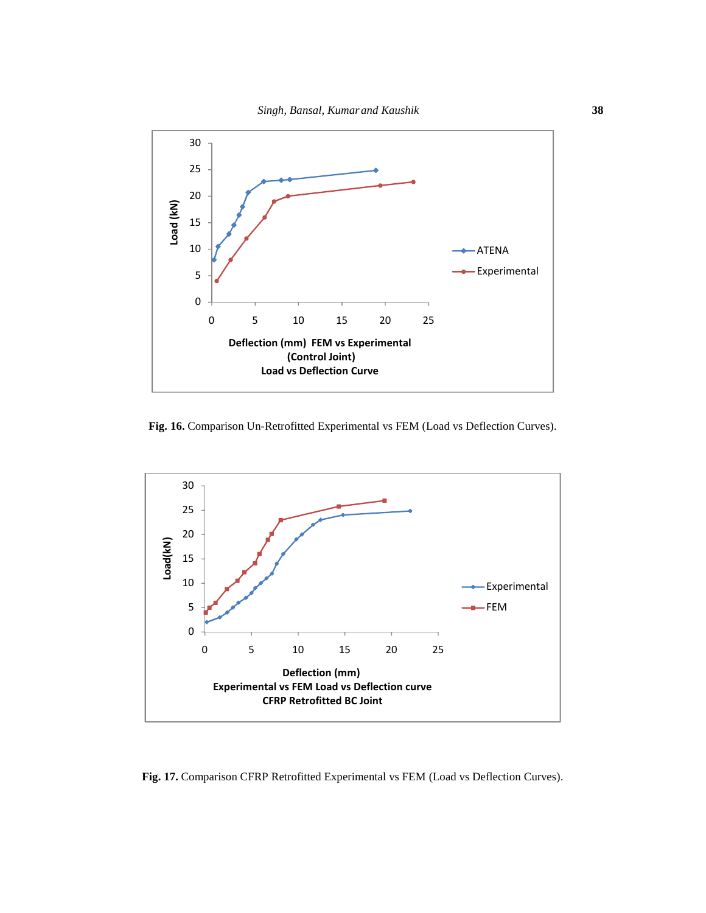

**Fig. 16.** Comparison Un-Retrofitted Experimental vs FEM (Load vs Deflection Curves).



**Fig. 17.** Comparison CFRP Retrofitted Experimental vs FEM (Load vs Deflection Curves).